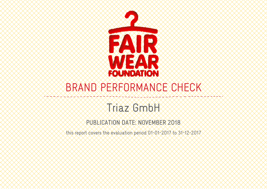

# BRAND PERFORMANCE CHECK

# Triaz GmbH

PUBLICATION DATE: NOVEMBER 2018

this report covers the evaluation period 01-01-2017 to 31-12-2017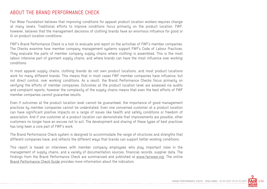#### ABOUT THE BRAND PERFORMANCE CHECK

Fair Wear Foundation believes that improving conditions for apparel product location workers requires change at many levels. Traditional efforts to improve conditions focus primarily on the product location. FWF, however, believes that the management decisions of clothing brands have an enormous influence for good or ill on product location conditions.

FWF's Brand Performance Check is a tool to evaluate and report on the activities of FWF's member companies. The Checks examine how member company management systems support FWF's Code of Labour Practices. They evaluate the parts of member company supply chains where clothing is assembled. This is the most labour intensive part of garment supply chains, and where brands can have the most influence over working conditions.

In most apparel supply chains, clothing brands do not own product locations, and most product locations work for many different brands. This means that in most cases FWF member companies have influence, but not direct control, over working conditions. As a result, the Brand Performance Checks focus primarily on verifying the efforts of member companies. Outcomes at the product location level are assessed via audits and complaint reports, however the complexity of the supply chains means that even the best efforts of FWF member companies cannot guarantee results.

Even if outcomes at the product location level cannot be guaranteed, the importance of good management practices by member companies cannot be understated. Even one concerned customer at a product location can have significant positive impacts on a range of issues like health and safety conditions or freedom of association. And if one customer at a product location can demonstrate that improvements are possible, other customers no longer have an excuse not to act. The development and sharing of these types of best practices has long been a core part of FWF's work.

The Brand Performance Check system is designed to accommodate the range of structures and strengths that different companies have, and reflects the different ways that brands can support better working conditions.

This report is based on interviews with member company employees who play important roles in the management of supply chains, and a variety of documentation sources, financial records, supplier data. The findings from the Brand Performance Check are summarized and published at www.fairwear.org. The online Brand Performance Check Guide provides more information about the indicators.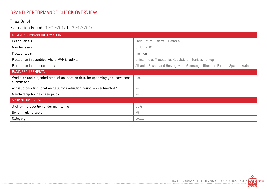## BRAND PERFORMANCE CHECK OVERVIEW

#### Triaz GmbH

#### Evaluation Period: 01-01-2017 to 31-12-2017

| MEMBER COMPANY INFORMATION                                                                |                                                                             |
|-------------------------------------------------------------------------------------------|-----------------------------------------------------------------------------|
| Headquarters:                                                                             | Freiburg im Breisgau, Germany                                               |
| Member since:                                                                             | 01-09-2011                                                                  |
| Product types:                                                                            | Fashion                                                                     |
| Production in countries where FWF is active:                                              | China, India, Macedonia, Republic of, Tunisia, Turkey                       |
| Production in other countries:                                                            | Albania, Bosnia and Herzegovina, Germany, Lithuania, Poland, Spain, Ukraine |
| <b>BASIC REQUIREMENTS</b>                                                                 |                                                                             |
| Workplan and projected production location data for upcoming year have been<br>submitted? | Yes                                                                         |
| Actual production location data for evaluation period was submitted?                      | Yes                                                                         |
| Membership fee has been paid?                                                             | Yes                                                                         |
| SCORING OVERVIEW                                                                          |                                                                             |
| % of own production under monitoring                                                      | 98%                                                                         |
| Benchmarking score                                                                        | 78                                                                          |
| Category                                                                                  | Leader                                                                      |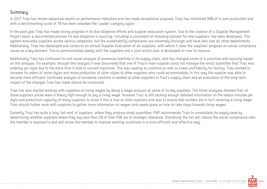#### Summary:

In 2017 Triaz has shown advanced results on performance indicators and has made exceptional progress. Triaz has monitored 98% of is own production and with a benchmarking score of 78 has been awarded the 'Leader' category again.

In the past year Triaz has made strong progress in its due diligence efforts and supplier evaluation system. Due to the creation of a Supplier Management Project team, a documented process for due diligence in sourcing, including a consistent on-boarding process for new suppliers, has been developed. This system evaluates suppliers across various categories, but the sustainability components are extremely thorough and have veto over all other departments. Additionally, Triaz has developed and conducts an annual Supplier Evaluation of all suppliers, with which it rates the suppliers' progress on social compliance issues as a key element. This is communicated openly with the suppliers and a joint action plan is developed on how to improve.

Additionally Triaz has continued its root cause analysis of excessive overtime in its supply chain, and has changed some of is practices and sourcing based on this analysis. For example, through this analysis it was discovered that one of Triaz's main supplier could not manage the small quantities that Triaz was ordering per style due to the extra time it took to convert machines. This was leading to overtime as well as lower profitability for factory. Triaz worked to increase its orders of some styles and move production of other styles to other suppliers who could accommodate. In this way the supplier was able to become more efficient. Continued analysis of excessive overtime is needed at other suppliers in Triaz's supply chain and an evaluation of the long-term impact of the changes Triaz has made should be conducted.

Triaz has also started working with suppliers on living wages by doing a wage analysis at some of its key suppliers. The initial analyses showed that, at those suppliers prices were in theory high enough to pay a living wage. However Triaz is still lacking enough detailed information on the labour minutes per style and production capacity of many suppliers to know if this is true at other suppliers and also to ensure that workers are in fact receiving a living wage. Triaz should further work with suppliers to gather more information on wages and create plans on how to take steps towards living wages.

Currently Triaz has quite a long 'tail-end' of suppliers, where they produce small quantities. FWF recommends Triaz to consolidate its supply base by determining whether suppliers where they buy less than 2% of their FOB are of strategic relevance. Shortening the tail will reduce the social compliance risks the member is exposed to and will allow the member to improve working conditions in a more efficient and effective way.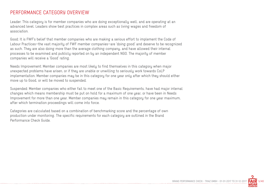#### PERFORMANCE CATEGORY OVERVIEW

Leader: This category is for member companies who are doing exceptionally well, and are operating at an advanced level. Leaders show best practices in complex areas such as living wages and freedom of association.

Good: It is FWF's belief that member companies who are making a serious effort to implement the Code of Labour Practices—the vast majority of FWF member companies—are 'doing good' and deserve to be recognized as such. They are also doing more than the average clothing company, and have allowed their internal processes to be examined and publicly reported on by an independent NGO. The majority of member companies will receive a 'Good' rating.

Needs Improvement: Member companies are most likely to find themselves in this category when major unexpected problems have arisen, or if they are unable or unwilling to seriously work towards CoLP implementation. Member companies may be in this category for one year only after which they should either move up to Good, or will be moved to suspended.

Suspended: Member companies who either fail to meet one of the Basic Requirements, have had major internal changes which means membership must be put on hold for a maximum of one year, or have been in Needs Improvement for more than one year. Member companies may remain in this category for one year maximum, after which termination proceedings will come into force.

Categories are calculated based on a combination of benchmarking score and the percentage of own production under monitoring. The specific requirements for each category are outlined in the Brand Performance Check Guide.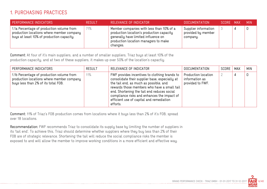## 1. PURCHASING PRACTICES

| <b>PERFORMANCE INDICATORS</b>                                                                                                       | <b>RESULT</b> | RELEVANCE OF INDICATOR                                                                                                                                                           | <b>DOCUMENTATION</b>                                   | SCORE MAX | <b>MIN</b> |
|-------------------------------------------------------------------------------------------------------------------------------------|---------------|----------------------------------------------------------------------------------------------------------------------------------------------------------------------------------|--------------------------------------------------------|-----------|------------|
| 1.1a Percentage of production volume from<br>production locations where member company<br>buys at least 10% of production capacity. | 71%           | Member companies with less than 10% of a<br>production location's production capacity<br>generally have limited influence on<br>production location managers to make<br>changes. | Supplier information<br>provided by member<br>company. |           |            |

Comment: At four of it's main suppliers, and a number of smaller suppliers, Triaz buys at least 10% of the production capacity, and at two of these suppliers, it makes up over 50% of the location's capactiy.

| PERFORMANCE INDICATORS                                                                                                        | <b>RESULT</b> | RELEVANCE OF INDICATOR                                                                                                                                                                                                                                                                                                                         | <b>DOCUMENTATION</b>                                      | SCORE | MAX | <b>MIN</b> |
|-------------------------------------------------------------------------------------------------------------------------------|---------------|------------------------------------------------------------------------------------------------------------------------------------------------------------------------------------------------------------------------------------------------------------------------------------------------------------------------------------------------|-----------------------------------------------------------|-------|-----|------------|
| 1.1b Percentage of production volume from<br>production locations where member company<br>buys less than 2% of its total FOB. | 11%           | FWF provides incentives to clothing brands to<br>consolidate their supplier base, especially at<br>the tail end, as much as possible, and<br>rewards those members who have a small tail<br>end. Shortening the tail end reduces social<br>compliance risks and enhances the impact of<br>efficient use of capital and remediation<br>efforts. | Production location<br>information as<br>provided to FWF. |       | 4   | 0          |

Comment: 11% of Triaz's FOB production comes from locations where it buys less than 2% of it's FOB, spread over 18 locations.

Recommendation: FWF recommends Triaz to consolidate its supply base by limiting the number of suppliers in its 'tail end'. To achieve this, Triaz should determine whether suppliers where they buy less than 2% of their FOB are of strategic relevance. Shortening the tail will reduce the social compliance risks the member is exposed to and will allow the member to improve working conditions in a more efficient and effective way.

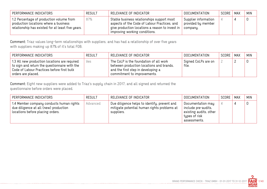| PERFORMANCE INDICATORS                                                                                                                 | <b>RESULT</b> | RELEVANCE OF INDICATOR                                                                                                                                                         | DOCUMENTATION                                          | SCORE | MAX | <b>MIN</b> |
|----------------------------------------------------------------------------------------------------------------------------------------|---------------|--------------------------------------------------------------------------------------------------------------------------------------------------------------------------------|--------------------------------------------------------|-------|-----|------------|
| 1.2 Percentage of production volume from<br>production locations where a business<br>relationship has existed for at least five years. | 87%           | Stable business relationships support most<br>aspects of the Code of Labour Practices, and<br>give production locations a reason to invest in<br>improving working conditions. | Supplier information<br>provided by member<br>company. |       |     |            |

Comment: Triaz values long-term relationships with suppliers, and has had a relationship of over five years with suppliers making up 87% of it's total FOB.

| PERFORMANCE INDICATORS                                                                                                                                             | RESULT | RELEVANCE OF INDICATOR                                                                                                                                  | DOCUMENTATION                | SCORE | <b>MAX</b> | <b>MIN</b> |
|--------------------------------------------------------------------------------------------------------------------------------------------------------------------|--------|---------------------------------------------------------------------------------------------------------------------------------------------------------|------------------------------|-------|------------|------------|
| 1.3 All new production locations are required<br>to sign and return the questionnaire with the<br>Code of Labour Practices before first bulk<br>orders are placed. | yes.   | The CoLP is the foundation of all work<br>between production locations and brands,<br>and the first step in developing a<br>commitment to improvements. | Signed CoLPs are on<br>file. |       |            |            |

Comment: Eight new suppliers were added to Triaz's supply chain in 2017, and all signed and returned the questionnaire before orders were placed.

| PERFORMANCE INDICATORS                                                                                                | <b>RESULT</b> | RELEVANCE OF INDICATOR                                                                                    | <b>DOCUMENTATION</b>                                                                                | SCORE | MAX | <b>MIN</b> |
|-----------------------------------------------------------------------------------------------------------------------|---------------|-----------------------------------------------------------------------------------------------------------|-----------------------------------------------------------------------------------------------------|-------|-----|------------|
| 1.4 Member company conducts human rights<br>due diligence at all (new) production<br>locations before placing orders. | Advanced      | Due diligence helps to identify, prevent and<br>mitigate potential human rights problems at<br>suppliers. | Documentation may<br>include pre-audits,<br>existing audits, other<br>types of risk<br>assessments. |       |     | 0          |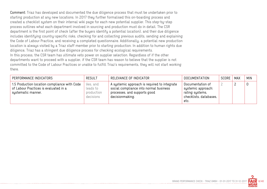Comment: Triaz has developed and documented the due diligence process that must be undertaken prior to starting production at any new locations. In 2017 they further formalised this on-boarding process and created a checklist system on their internal wiki page for each new potential supplier. This step-by-step process outlines what each department involved in sourcing and production must do in detail. The CSR department is the first point of check (after the buyers identify a potential location), and their due diligence includes identifying country-specific risks, checking for and collecting previous audits, sending and explaining the Code of Labour Practice, and receiving a completed questionnaire. Additionally, a potential new production location is always visited by a Triaz staff member prior to starting production. In addition to human rights due diligence, Triaz has a stringent due diligence process for checking ecological requirements. In this process, the CSR team has ultimate veto power on supplier selection. Regardless of if the other departments want to proceed with a supplier, if the CSR team has reason to believe that the supplier is not committed to the Code of Labour Practices or unable to fulfill Triaz's requirements, they will not start working there.

| PERFORMANCE INDICATORS                                                                                      | <b>RESULT</b>                                   | RELEVANCE OF INDICATOR                                                                                                                    | DOCUMENTATION                                                                               | SCORE | MAX | <b>MIN</b> |
|-------------------------------------------------------------------------------------------------------------|-------------------------------------------------|-------------------------------------------------------------------------------------------------------------------------------------------|---------------------------------------------------------------------------------------------|-------|-----|------------|
| 1.5 Production location compliance with Code<br>of Labour Practices is evaluated in a<br>systematic manner. | Yes, and<br>leads to<br>production<br>decisions | A systemic approach is required to integrate<br>social compliance into normal business<br>processes, and supports good<br>decisionmaking. | Documentation of<br>systemic approach:<br>rating systems,<br>checklists, databases,<br>etc. |       |     |            |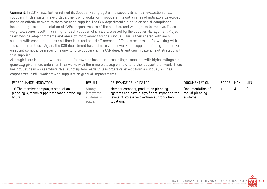Comment: In 2017 Triaz further refined its Supplier Rating System to support its annual evaluation of all suppliers. In this system, every department who works with suppliers fills out a series of indicators developed based on criteria relevant to them for each supplier. The CSR department's criteria on social compliance include progress on remediation of CAPs, responsiveness of the supplier, and willingness to improve. These weighted scores result in a rating for each supplier which are discussed by the Supplier Management Project team who develop comments and areas of improvement for the supplier. This is then shared with each supplier with concrete actions and timelines, and one staff member of Triaz is responsible for working with the supplier on these. Again, the CSR department has ultimate veto power - if a supplier is failing to improve on social compliance issues or is unwilling to cooperate, the CSR department can initiate an exit strategy with that supplier.

Although there is not yet written criteria for rewards based on these ratings, suppliers with higher ratings are generally given more orders, or Triaz works with them more closely on how to further support their work. There has not yet been a case where this rating system leads to less orders or an exit from a supplier, as Triaz emphasizes jointly working with suppliers on gradual improvements.

| PERFORMANCE INDICATORS                                                                       | <b>RESULT</b>                                 | RELEVANCE OF INDICATOR                                                                                                                         | <b>DOCUMENTATION</b>                            | <b>SCORE</b> | <b>MAX</b> | <b>MIN</b> |
|----------------------------------------------------------------------------------------------|-----------------------------------------------|------------------------------------------------------------------------------------------------------------------------------------------------|-------------------------------------------------|--------------|------------|------------|
| 1.6 The member company's production<br>planning systems support reasonable working<br>hours. | Strong,<br>integrated<br>systems in<br>place. | Member company production planning<br>systems can have a significant impact on the<br>levels of excessive overtime at production<br>locations. | Documentation of<br>robust planning<br>systems. |              |            |            |

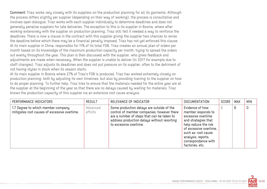Comment: Triaz works very closely with its suppliers on the production planning for all its garments. Although the process differs slightly per supplier (depending on their way of working), the process is consultative and involves open dialogue. Triaz works with each supplier individually to determine deadlines and does not generally penalise suppliers for late deliveries. The exception to this is its supplier in Bosnia, where after working extensively with the supplier on production planning, Triaz still felt it needed a way to reinforce the deadlines. There is now a clause in the contract with this supplier giving the supplier two chances to revise the deadline before which there may be a financial penalty imposed. Triaz has not yet enforced this clause. At its main supplier in China, responsible for 11% of its total FOB, Triaz creates an annual plan of orders per month based on its knowledge of the maximum production capacity per month, trying to spread the orders out evenly throughout the year. This plan is then discussed with the supplier, who gives feedback and adjustments are made when necessary. When the supplier is unable to deliver (in 2017 for example due to staff changes), Triaz adjusts its deadlines and does not put pressure on its supplier, often to the detriment of not having stules in stock when its season starts.

At its main supplier in Bosnia where 27% of Triaz's FOB is produced, Triaz has worked extremely closely on production planning, both by adjusting its own timelines, but also by providing training to the supplier on how to do proper planning. To further help, Triaz tries to ensure that the materials needed for the entire uear are at the supplier at the beginning of the year so that there are no delays caused by waiting for materials. Triaz knows the production capacity of this supplier via an extensive root cause analysis.

| PERFORMANCE INDICATORS                                                             | <b>RESULT</b>       | RELEVANCE OF INDICATOR                                                                                                                                                                                         | <b>DOCUMENTATION</b>                                                                                                                                                                                                        | SCORE | MAX | <b>MIN</b> |
|------------------------------------------------------------------------------------|---------------------|----------------------------------------------------------------------------------------------------------------------------------------------------------------------------------------------------------------|-----------------------------------------------------------------------------------------------------------------------------------------------------------------------------------------------------------------------------|-------|-----|------------|
| 1.7 Degree to which member company<br>mitigates root causes of excessive overtime. | Advanced<br>efforts | Some production delays are outside of the<br>control of member companies; however there<br>are a number of steps that can be taken to<br>address production delays without resorting<br>to excessive overtime. | Evidence of how<br>member responds to<br>excessive overtime<br>and strategies that<br>help reduce the risk<br>of excessive overtime,<br>such as: root cause<br>analysis, reports,<br>correspondence with<br>factories, etc. | 6     | b   | 0          |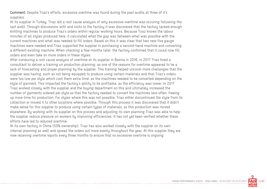Comment: Despite Triaz's efforts, excessive overtime was found during the past audits at three of it's suppliers.

At its supplier in Turkey, Triaz did a root cause analysis of why excessive overtime was occuring following the last audit. Through discussions with and visits to the factory it was discovered that the factory lacked enough knitting machines to produce Triaz's orders within regular working hours. Because Triaz knows the labour minutes of all styles produced here, it calculated what the gap was between what was possible with the current machines and what was needed to fill orders. Based on this it was clear that two new five gauge machines were needed and Triaz supported the supplier in purchasing a second-hand machine and converting a different existing machine. When checking a few months later, the factory confirmed that it could now fill orders and even take on more orders in these styles.

After conducing a root cause analysis of overtime at its supplier in Bosnia in 2016, in 2017 Triaz hired a consultant to deliver a training on production planning, as one of the reasons for overtime appeared to be a lack of forecasting and proper planning by the supplier. This training helped uncover more challenges that the supplier was having, such as not being equipped to produce using certain materials and that Triaz's orders were too low per style which cost them extra time, as the machines needed to be converted depending on the style of garment. This impacted the factory's ability to be profitable, as the efficiency was lower. In 2017 Triaz worked closely with the supplier and the buying department on this and ultimately increased the number of garments ordered per style so that the factory needed to convert the machines less often, freeing up more time for production. For styles where this was not possible, Triaz either discontinued the style from its collection or moved it to other locations where possible. Through this process it was discovered that it didn't make sense for this supplier to produce using certain types of materials, so this production was moved elsewhere. By working with its supplier on this process and adjusting its own planning Triaz was able to help the supplier reduce pressure on workers by improving efficiencies. It has not yet been verified whether these efforts have led to reduced overtime.

At its own factory in China (50% ownership), Triaz has also worked closely with the supplier on its own internal planning as well and spread the orders out more evenly throughout the year. At this supplier they are now receiving overtime reports every three months to ensure that no excessive overtime is ongoing.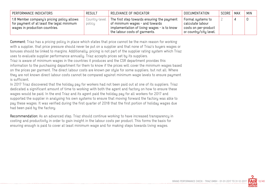| PERFORMANCE INDICATORS                                                                                                    | <b>RESULT</b>           | RELEVANCE OF INDICATOR                                                                                                                                        | DOCUMENTATION                                                                           | SCORE | MAX | MIN |
|---------------------------------------------------------------------------------------------------------------------------|-------------------------|---------------------------------------------------------------------------------------------------------------------------------------------------------------|-----------------------------------------------------------------------------------------|-------|-----|-----|
| 1.8 Member company's pricing policy allows<br>for payment of at least the legal minimum<br>wages in production countries. | Country-level<br>policy | The first step towards ensuring the payment<br>of minimum wages - and towards<br>implementation of living wages - is to know<br>the labour costs of garments. | Formal systems to<br>calculate labour<br>costs on per-product<br>or country/city level. |       |     |     |

Comment: Triaz has a pricing policy in place which states that price cannot be the main reason for working with a supplier, that price pressure should never be put on a supplier and that none of Triaz's buyers wages or bonuses should be linked to margins. Additionally, pricing is not part of the supplier rating system which Triaz uses to evaluate supplier performance annually. Triaz accepts prices set by its suppliers.

Triaz is aware of minimum wages in the countries it produces and the CSR department provides this information to the purchasing department for them to know if the prices will cover the minimum wages based on the prices per garment. The direct labour costs are known per style for some suppliers, but not all. Where they are not known direct labour costs cannot be compared against minimum wage levels to ensure payment is sufficient.

In 2017 Triaz discovered that the holiday pay for workers had not been paid out at one of its suppliers. Triaz dedicated a significant amount of time to working with both the agent and factory on how to ensure these wages would be paid. In the end Triaz and its agent paid the holiday pay for all workers for 2017 and supported the supplier in analysing his own systems to ensure that moving forward the factory was able to pay these wages. It was verified during the first quarter of 2018 that the first portion of holiday wages due had been paid by the factory.

Recommendation: As an advanced step, Triaz should continue working to have increased transparency in costing and productivity in order to gain insight in the labour costs per product. This forms the basis for ensuring enough is paid to cover at least minimum wage and for making steps towards living wages.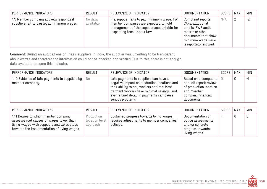| PERFORMANCE INDICATORS                                                                | <b>RESULT</b>        | RELEVANCE OF INDICATOR                                                                                                                                              | <b>DOCUMENTATION</b>                                                                                                                                  | SCORE | MAX | <b>MIN</b> |
|---------------------------------------------------------------------------------------|----------------------|---------------------------------------------------------------------------------------------------------------------------------------------------------------------|-------------------------------------------------------------------------------------------------------------------------------------------------------|-------|-----|------------|
| 1.9 Member company actively responds if<br>suppliers fail to pay legal minimum wages. | No data<br>available | If a supplier fails to pay minimum wage, FWF<br>member companies are expected to hold<br>management of the supplier accountable for<br>respecting local labour law. | Complaint reports,<br>CAPs, additional<br>emails, FWF audit<br>reports or other<br>documents that show<br>minimum wage issue<br>is reported/resolved. | N/A   | 2   | $-2$       |

Comment: During an audit at one of Triaz's suppliers in India, the supplier was unwilling to be transparent about wages and therefore the information could not be checked and verified. Due to this, there is not enough data available to score this indicator.

| PERFORMANCE INDICATORS                                                   | <b>RESULT</b> | RELEVANCE OF INDICATOR                                                                                                                                                                                                                           | DOCUMENTATION                                                                                                              | SCORE | MAX | <b>MIN</b>     |
|--------------------------------------------------------------------------|---------------|--------------------------------------------------------------------------------------------------------------------------------------------------------------------------------------------------------------------------------------------------|----------------------------------------------------------------------------------------------------------------------------|-------|-----|----------------|
| 1.10 Evidence of late payments to suppliers by $ $ No<br>member company. |               | Late payments to suppliers can have a<br>negative impact on production locations and<br>their ability to pay workers on time. Most<br>garment workers have minimal savings, and<br>even a brief delay in payments can cause<br>serious problems. | Based on a complaint<br>or audit report; review<br>of production location<br>and member<br>company financial<br>documents. |       | υ   | $\blacksquare$ |

| PERFORMANCE INDICATORS                                                                                                                                                        | <b>RESULT</b>                            | RELEVANCE OF INDICATOR                                                                            | <b>DOCUMENTATION</b>                                                                           | SCORE | MAX | <b>MIN</b> |
|-------------------------------------------------------------------------------------------------------------------------------------------------------------------------------|------------------------------------------|---------------------------------------------------------------------------------------------------|------------------------------------------------------------------------------------------------|-------|-----|------------|
| 1.11 Degree to which member company<br>assesses root causes of wages lower than<br>living wages with suppliers and takes steps<br>towards the implementation of living wages. | Production<br>location level<br>approach | Sustained progress towards living wages<br>requires adjustments to member companies'<br>policies. | Documentation of<br>policy assessments<br>and/or concrete<br>progress towards<br>living wages. |       |     |            |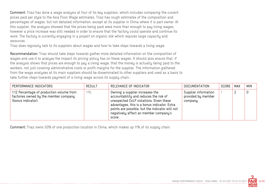Comment: Triaz has done a wage analysis at four of its key suppliers, which includes comparing the current prices paid per style to the Asia Floor Wage estimates. Triaz has rough estimates of the composition and percentages of wages, but not detailed information, except at its supplier in China where it is part owner. At this supplier, the analysis showed that the prices being paid were more than enough to pay living wages, however a price increase was still needed in order to ensure that the factory could operate and continue its work. The factory is currently engaging in a project on organic silk which requires large capacity and resources.

Triaz does regularly talk to its suppliers about wages and how to take steps towards a living wage.

Recommendation: Triaz should take steps towards gather more detailed information on the composition of wages and use it to analyse the impact its pricing policy has on these wages. It should also ensure that, if the analysis shows that prices are enough to pay a living wage, that the money is actually being paid to the workers, not just covering administrative costs or profit margins for the supplier. The information gathered from the wage analyses at its main suppliers should be disseminated to other suppliers and used as a basis to take further steps towards payment of a living wage across its supply chain.

| PERFORMANCE INDICATORS                                                                                   | RESULT | RELEVANCE OF INDICATOR                                                                                                                                                                                                                                                     | DOCUMENTATION                                          | SCORE | MAX | <b>MIN</b> |
|----------------------------------------------------------------------------------------------------------|--------|----------------------------------------------------------------------------------------------------------------------------------------------------------------------------------------------------------------------------------------------------------------------------|--------------------------------------------------------|-------|-----|------------|
| 1.12 Percentage of production volume from<br>factories owned by the member company<br>(bonus indicator). | 11%    | Owning a supplier increases the<br>accountability and reduces the risk of<br>unexpected CoLP violations. Given these<br>advantages, this is a bonus indicator. Extra<br>points are possible, but the indicator will not<br>negatively affect an member company's<br>score. | Supplier information<br>provided by member<br>company. |       |     | 0          |

Comment: Triaz owns 50% of one production location in China, which makes up 11% of its supply chain.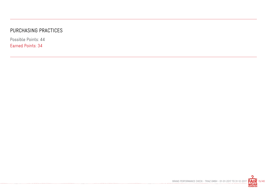## PURCHASING PRACTICES

Possible Points: 44 Earned Points: 34

-----------

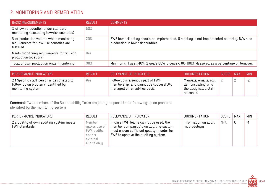## 2. MONITORING AND REMEDIATION

| <b>BASIC MEASUREMENTS</b>                                                                       | <b>RESULT</b> | <b>COMMENTS</b>                                                                                                                       |
|-------------------------------------------------------------------------------------------------|---------------|---------------------------------------------------------------------------------------------------------------------------------------|
| % of own production under standard<br>monitoring (excluding low-risk countries)                 | 50%           |                                                                                                                                       |
| % of production volume where monitoring<br>requirements for low-risk countries are<br>fulfilled | 20%           | FWF low risk policy should be implemented. $0$ = policy is not implemented correctly. $N/A$ = no<br>production in low risk countries. |
| Meets monitoring requirements for tail-end<br>production locations.                             | <b>Yes</b>    |                                                                                                                                       |
| Total of own production under monitoring                                                        | 98%           | Minimums: 1 year: 40%; 2 years 60%; 3 years+: 80-100% Measured as a percentage of turnover.                                           |

| PERFORMANCE INDICATORS                                                                                 | <b>RESULT</b> | RELEVANCE OF INDICATOR                                                                                     | DOCUMENTATION                                                                       | SCORE MAX | <b>MIN</b> |
|--------------------------------------------------------------------------------------------------------|---------------|------------------------------------------------------------------------------------------------------------|-------------------------------------------------------------------------------------|-----------|------------|
| 2.1 Specific staff person is designated to<br>follow up on problems identified by<br>monitoring system | yes.          | Followup is a serious part of FWF<br>membership, and cannot be successfully<br>managed on an ad-hoc basis. | Manuals, emails, etc.,  <br>demonstrating who<br>the designated staff<br>person is. |           | $-2$       |

Comment: Two members of the Sustainability Team are jointly responsible for following up on problems identified by the monitoring system.

| PERFORMANCE INDICATORS                                     | <b>RESULT</b>                                                             | RELEVANCE OF INDICATOR                                                                                                                                               | <b>DOCUMENTATION</b>                 | SCORE | MAX | <b>MIN</b> |
|------------------------------------------------------------|---------------------------------------------------------------------------|----------------------------------------------------------------------------------------------------------------------------------------------------------------------|--------------------------------------|-------|-----|------------|
| 2.2 Quality of own auditing system meets<br>FWF standards. | Member<br>makes use of<br>FWF audits<br>and/or<br>external<br>audits only | In case FWF teams cannot be used, the<br>member companies' own auditing system<br>must ensure sufficient quality in order for<br>FWF to approve the auditing system. | Information on audit<br>methodology. | N/A   |     | -1         |

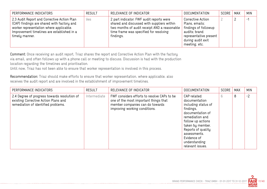| PERFORMANCE INDICATORS                                                                                                                                                                               | <b>RESULT</b> | RELEVANCE OF INDICATOR                                                                                                                                                                        | <b>DOCUMENTATION</b>                                                                                                                         | SCORE | <b>MAX</b> | <b>MIN</b> |
|------------------------------------------------------------------------------------------------------------------------------------------------------------------------------------------------------|---------------|-----------------------------------------------------------------------------------------------------------------------------------------------------------------------------------------------|----------------------------------------------------------------------------------------------------------------------------------------------|-------|------------|------------|
| 2.3 Audit Report and Corrective Action Plan<br>(CAP) findings are shared with factory and<br>worker representation where applicable.<br>Improvement timelines are established in a<br>timely manner. | Yes           | 2 part indicator: FWF audit reports were<br>shared and discussed with suppliers within<br>two months of audit receipt AND a reasonable<br>time frame was specified for resolving<br>findings. | Corrective Action<br>Plans, emails;<br>findings of followup<br>audits; brand<br>representative present<br>during audit exit<br>meeting, etc. |       |            | Ξ,         |

Comment: Once receiving an audit report, Triaz shares the report and Corrective Action Plan with the factory via email, and often follows up with a phone call or meeting to discuss. Discussion is had with the production location regarding the timelines and prioritisation.

Until now, Triaz has not been able to ensure that worker representation is involved in this process.

Recommendation: Triaz should make efforts to ensure that worker representation, where applicable, also receives the audit report and are involved in the establishment of improvement timelines.

| PERFORMANCE INDICATORS                                                                                                      | <b>RESULT</b> | RELEVANCE OF INDICATOR                                                                                                                                   | <b>DOCUMENTATION</b>                                                                                                                                                                                                                       | SCORE | <b>MAX</b> | <b>MIN</b> |
|-----------------------------------------------------------------------------------------------------------------------------|---------------|----------------------------------------------------------------------------------------------------------------------------------------------------------|--------------------------------------------------------------------------------------------------------------------------------------------------------------------------------------------------------------------------------------------|-------|------------|------------|
| 2.4 Degree of progress towards resolution of<br>existing Corrective Action Plans and<br>remediation of identified problems. | Intermediate  | FWF considers efforts to resolve CAPs to be<br>one of the most important things that<br>member companies can do towards<br>improving working conditions. | CAP-related<br>documentation<br>including status of<br>findings,<br>documentation of<br>remediation and<br>follow up actions<br>taken by member.<br>Reports of quality<br>assessments.<br>Evidence of<br>understanding<br>relevant issues. | 6     | 8          | $-2$       |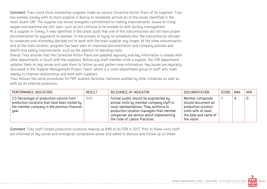Comment: Triaz could show substantial progress made on various Corrective Action Plans of its suppliers. Triaz has worked closely with its main supplier in Bosnia to remediate almost all of the issues identified in the most recent CAP. The supplier has shown energetic commitment to making improvements. Issues on living wages and overtime are still open, such as but continue to be worked on with factory management. At a supplier in Turkey, it was identified in the latest audit that one of the subcontractors did not have proper documentation for payments to workers. In the process of trying to remediate this, the subcontractor refused to cooperate and ultimately decided not to work with the main supplier any longer. At the other subcontractor and at the main location, progress has been seen on improved documentation and company policies and health and safety improvements, such as the addition of standing mats.

Overall Triaz ensures that the Corrective Action Plans are updated regularly and key information is shared with other departments in touch with the suppliers. Before any staff member visits a suppler, the CSR department updates them on key issues and asks them to follow up and gather more information. Key issues are regularly discussed in the Supplier Management Project Team, which is a cross-department group of staff who meet weekly to improve relationships and work with suppliers.

Triaz follows the same procedures for FWF audited factories, factories audited by other initiatives as well as with all its external producers.

| PERFORMANCE INDICATORS                                                                                                                              | <b>RESULT</b> | RELEVANCE OF INDICATOR                                                                                                                                                                                                                                | DOCUMENTATION                                                                                                                  | SCORE | MAX | <b>MIN</b> |
|-----------------------------------------------------------------------------------------------------------------------------------------------------|---------------|-------------------------------------------------------------------------------------------------------------------------------------------------------------------------------------------------------------------------------------------------------|--------------------------------------------------------------------------------------------------------------------------------|-------|-----|------------|
| 2.5 Percentage of production volume from<br>production locations that have been visited by<br>the member company in the previous financial<br>year. | 84%           | Formal audits should be augmented by<br>annual visits by member company staff or<br>local representatives. They reinforce to<br>production location managers that member<br>companies are serious about implementing<br>the Code of Labour Practices. | Member companies<br>should document all<br>production location<br>visits with at least<br>the date and name of<br>the visitor. |       |     |            |

Comment: Triaz staff visited production locations making up 84% of its FOB in 2017. Prior to these visits staff are informed of key social and ecological compliance issues and asked to discuss and follow up on these.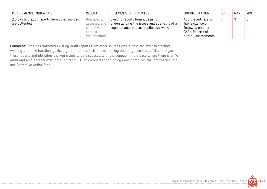| PERFORMANCE INDICATORS                                          | <b>RESULT</b>                                                        | RELEVANCE OF INDICATOR                                                                                                      | DOCUMENTATION                                                                                              | SCORE | MAX | <b>MIN</b> |
|-----------------------------------------------------------------|----------------------------------------------------------------------|-----------------------------------------------------------------------------------------------------------------------------|------------------------------------------------------------------------------------------------------------|-------|-----|------------|
| 2.6 Existing audit reports from other sources<br>are collected. | Yes, quality<br>assessed and<br>corrective<br>actions<br>implemented | Existing reports form a basis for<br>understanding the issues and strengths of a<br>supplier, and reduces duplicative work. | Audit reports are on<br>file; evidence of<br>followup on prior<br>CAPs. Reports of<br>quality assessments. |       |     |            |

Comment: Triaz has gathered existing audit reports from other sources where possible. Prior to starting working at a new location, gathering external audits is one of the key due diligence steps. Triaz analyses these reports and identifies the key issues to be discussed with the supplier. In the case where there is a FWF audit and also another existing audit report, Triaz compares the findings and combines the information into one Corrective Action Plan.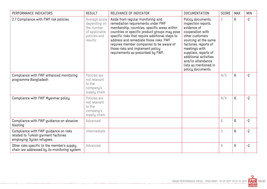| PERFORMANCE INDICATORS                                                                                     | <b>RESULT</b>                                                                           | RELEVANCE OF INDICATOR                                                                                                                                                                                                                                                                                                                                                                      | <b>DOCUMENTATION</b>                                                                                                                                                                                                                                                                  | SCORE | <b>MAX</b> | <b>MIN</b> |
|------------------------------------------------------------------------------------------------------------|-----------------------------------------------------------------------------------------|---------------------------------------------------------------------------------------------------------------------------------------------------------------------------------------------------------------------------------------------------------------------------------------------------------------------------------------------------------------------------------------------|---------------------------------------------------------------------------------------------------------------------------------------------------------------------------------------------------------------------------------------------------------------------------------------|-------|------------|------------|
| 2.7 Compliance with FWF risk policies.                                                                     | Average score<br>depending on<br>the number<br>of applicable<br>policies and<br>results | Aside from regular monitoring and<br>remediation requirements under FWF<br>membership, countries, specific areas within<br>countries or specific product groups may pose<br>specific risks that require additional steps to<br>address and remediate those risks. FWF<br>requires member companies to be aware of<br>those risks and implement policy<br>requirements as prescribed by FWF. | Policy documents,<br>inspection reports,<br>evidence of<br>cooperation with<br>other customers<br>sourcing at the same<br>factories, reports of<br>meetings with<br>suppliers, reports of<br>additional activities<br>and/or attendance<br>lists as mentioned in<br>policy documents. | 5     | 6          | $-2$       |
| Compliance with FWF enhanced monitoring<br>programme Bangladesh                                            | Policies are<br>not relevant<br>to the<br>company's<br>supply chain                     |                                                                                                                                                                                                                                                                                                                                                                                             |                                                                                                                                                                                                                                                                                       | N/A   | 6          | $-2$       |
| Compliance with FWF Myanmar policy                                                                         | Policies are<br>not relevant<br>to the<br>company's<br>supply chain                     |                                                                                                                                                                                                                                                                                                                                                                                             |                                                                                                                                                                                                                                                                                       | N/A   | 6          | $-2$       |
| Compliance with FWF guidance on abrasive<br>blasting                                                       | Advanced                                                                                |                                                                                                                                                                                                                                                                                                                                                                                             |                                                                                                                                                                                                                                                                                       | 6     | 6          | $-2$       |
| Compliance with FWF guidance on risks<br>related to Turkish garment factories<br>employing Syrian refugees | Intermediate                                                                            |                                                                                                                                                                                                                                                                                                                                                                                             |                                                                                                                                                                                                                                                                                       | 3     | 6          | $-2$       |
| Other risks specific to the member's supply<br>chain are addressed by its monitoring system                | Advanced                                                                                |                                                                                                                                                                                                                                                                                                                                                                                             |                                                                                                                                                                                                                                                                                       | 6     | 6          | $-2$       |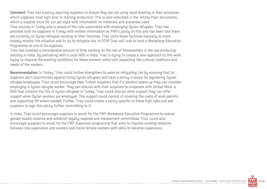Comment: Triaz has a policy requiring suppliers to ensure they are not using sand-blasting in their processes, which suppliers must sign prior to starting production. This is also reiterated in the 'Article Pass' documents, which a supplier must fill out per style with information on materials and processes used. Triaz sources in Turkey and is aware of the risks associated with employing Syrian refugees. Triaz has provided both its suppliers in Turkey with written information on FWF's policy on this and has been told there are currently no Syrian refugees working at their factories. Triaz visits these factories regularly to more closely monitor the situation and to try to mitigate risk. In 2018 Triaz will look to hold a Workplace Education Programme at one of its suppliers.

Triaz has invested a considerable amount of time working on the risk of homeworkers in the rug-producing industry in India. By partnering with a local NGO in India, Triaz is trying to create a new approach to this work, trying to improve the working conditions for these workers, while still respecting the cultural traditions and needs of the workers.

Recommendation: In Turkey, Triaz could further strengthen its work on mitigating risk by ensuring that its suppliers don't discriminate against hiring Syrian refugees and have a policy in place for registering Syrian refugee employees. Triaz could encourage their Turkish suppliers that if a position opens up they can consider employing a Syrian refugee worker. They can discuss with their suppliers to cooperate with United Work, a NGO that collects the CVs of Syrian refugees in Turkey. Triaz could discuss what support they can offer support when Syrian workers are employed. This support could consist of covering the costs of work permits and supporting HR where needed. Further, Triaz could create a policy specific to these high risks and ask suppliers to sign this policy further committing to it.

In India, Triaz could encourage suppliers to enroll for the FWF Workplace Education Programme to reduce gender-based violence and establish legally required anti-harassment committees. Triaz could also encourage suppliers to enroll for the FWF Supervisor programme that aims to improve working relations between line supervisors and workers and trains female workers with skills to become supervisors.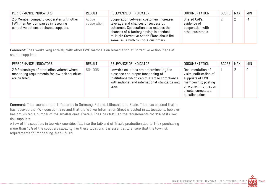| PERFORMANCE INDICATORS                                                                                                   | <b>RESULT</b>         | RELEVANCE OF INDICATOR                                                                                                                                                                                                                                 | <b>DOCUMENTATION</b>                                                | SCORE | MAX | <b>MIN</b>     |
|--------------------------------------------------------------------------------------------------------------------------|-----------------------|--------------------------------------------------------------------------------------------------------------------------------------------------------------------------------------------------------------------------------------------------------|---------------------------------------------------------------------|-------|-----|----------------|
| 2.8 Member company cooperates with other<br>FWF member companies in resolving<br>corrective actions at shared suppliers. | Active<br>cooperation | Cooperation between customers increases<br>leverage and chances of successful<br>outcomes. Cooperation also reduces the<br>chances of a factory having to conduct<br>multiple Corrective Action Plans about the<br>same issue with multiple customers. | Shared CAPs,<br>evidence of<br>cooperation with<br>other customers. |       | ∸   | $\blacksquare$ |

Comment: Triaz works very actively with other FWF members on remediation at Corrective Action Plans at shared suppliers.

| PERFORMANCE INDICATORS                                                                                        | RESULT  | RELEVANCE OF INDICATOR                                                                                                                                                                  | <b>DOCUMENTATION</b>                                                                                                                                    | SCORE | MAX | MIN |
|---------------------------------------------------------------------------------------------------------------|---------|-----------------------------------------------------------------------------------------------------------------------------------------------------------------------------------------|---------------------------------------------------------------------------------------------------------------------------------------------------------|-------|-----|-----|
| 2.9 Percentage of production volume where<br>monitoring requirements for low-risk countries<br>are fulfilled. | 50-100% | Low-risk countries are determined by the<br>presence and proper functioning of<br>institutions which can guarantee compliance<br>with national and international standards and<br>laws. | Documentation of<br>visits, notification of<br>suppliers of FWF<br>membership; posting<br>of worker information<br>sheets, completed<br>questionnaires. |       |     |     |

Comment: Triaz sources from 11 factories in Germany, Poland, Lithuania and Spain. Triaz has ensured that it has received the FWF questionnaire and that the Worker Information Sheet is posted in all locations, however has not visited a number of the smaller ones. Overall, Triaz has fulfilled the requirements for 91% of its lowrisk suppliers.

A few of the suppliers in low-risk countries fall into the tail-end of Triaz's production due to Triaz purchasing more than 10% of the suppliers capacity. For these locations it is essential to ensure that the low-risk requirements for monitoring are fulfilled.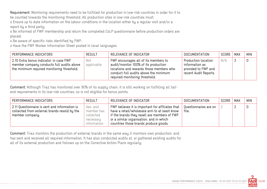Requirement: Monitoring requirements need to be fulfilled for production in low-risk countries in order for it to be counted towards the monitoring threshold. All production sites in low-risk countries must:

o Ensure up to date information on the labour conditions in the location either by a regular visit and/or a report by a third party;

o Be informed of FWF membership and return the completed CoLP questionnaire before production orders are placed;

o Be aware of specific risks identified by FWF;

o Have the FWF Worker Information Sheet posted in local languages.

| PERFORMANCE INDICATORS                                                                                                             | <b>RESULT</b>     | RELEVANCE OF INDICATOR                                                                                                                                                                             | <b>DOCUMENTATION</b>                                                                  | SCORE | <b>MAX</b> | <b>MIN</b> |
|------------------------------------------------------------------------------------------------------------------------------------|-------------------|----------------------------------------------------------------------------------------------------------------------------------------------------------------------------------------------------|---------------------------------------------------------------------------------------|-------|------------|------------|
| 2.10 Extra bonus indicator: in case FWF<br>member company conducts full audits above<br>the minimum required monitoring threshold. | Not<br>applicable | FWF encourages all of its members to<br>audit/monitor 100% of its production<br>locations and rewards those members who<br>conduct full audits above the minimum<br>required monitoring threshold. | Production location<br>information as<br>provided to FWF and<br>recent Audit Reports. | N/A   |            |            |

Comment: Although Triaz has monitored over 90% of its supply chain, it is still working on fulfilling all tailend requirements in its low-risk countries, so is not eligible for bonus points.

| PERFORMANCE INDICATORS                                                                                           | RESULT                                                          | RELEVANCE OF INDICATOR                                                                                                                                                                                                               | DOCUMENTATION                  | SCORE | MAX | MIN |
|------------------------------------------------------------------------------------------------------------------|-----------------------------------------------------------------|--------------------------------------------------------------------------------------------------------------------------------------------------------------------------------------------------------------------------------------|--------------------------------|-------|-----|-----|
| 2.11 Questionnaire is sent and information is<br>collected from external brands resold by the<br>member company. | Yes, and<br>member has<br>collected<br>necessary<br>information | FWF believes it is important for affiliates that<br>have a retail/wholesale arm to at least know<br>if the brands they resell are members of FWF<br>or a similar organisation, and in which<br>countries those brands produce goods. | Questionnaires are on<br>file. |       |     | 0   |

Comment: Triaz monitors the production of external brands in the same way it monitors own production, and has sent and received all required information. It has also conducted audits at, or gathered existing audits for all of its external production and follows up on the Corrective Action Plans regularly.

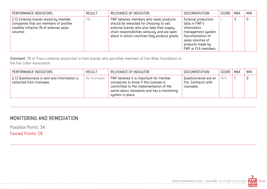| PERFORMANCE INDICATORS                                                                                                                 | <b>RESULT</b> | RELEVANCE OF INDICATOR                                                                                                                                                                                                             | <b>DOCUMENTATION</b>                                                                                                                                         | SCORE | MAX | <b>MIN</b> |
|----------------------------------------------------------------------------------------------------------------------------------------|---------------|------------------------------------------------------------------------------------------------------------------------------------------------------------------------------------------------------------------------------------|--------------------------------------------------------------------------------------------------------------------------------------------------------------|-------|-----|------------|
| 2.12 External brands resold by member<br>companies that are members of another<br>credible initiative (% of external sales<br>volume). | 7%            | FWF believes members who resell products<br>should be rewarded for choosing to sell<br>external brands who also take their supply<br>chain responsibilities seriously and are open<br>about in which countries they produce goods. | External production<br>data in FWF's<br>information<br>management system.<br>Documentation of<br>sales volumes of<br>products made by<br>FWF or FLA members. |       |     |            |

Comment: 7% of Triaz's external production is from brands who are either members of Fair Wear Foundation or the Fair Labor Association.

| PERFORMANCE INDICATORS                                                     | <b>RESULT</b> | RELEVANCE OF INDICATOR                                                                                                                                                                      | DOCUMENTATION                                               | SCORE | <b>MAX</b> | <b>MIN</b> |
|----------------------------------------------------------------------------|---------------|---------------------------------------------------------------------------------------------------------------------------------------------------------------------------------------------|-------------------------------------------------------------|-------|------------|------------|
| 2.13 Questionnaire is sent and information is<br>collected from licensees. | No licensees  | FWF believes it is important for member<br>companies to know if the licensee is<br>committed to the implementation of the<br>same labour standards and has a monitoring<br>system in place. | Questionnaires are on<br>file. Contracts with<br>licensees. | N/A   |            |            |

## MONITORING AND REMEDIATION

Possible Points: 34 Earned Points: 28

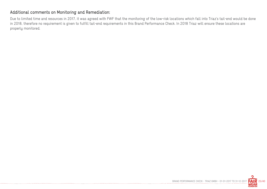#### Additional comments on Monitoring and Remediation:

Due to limited time and resources in 2017, it was agreed with FWF that the monitoring of the low-risk locations which fall into Triaz's tail-end would be done in 2018, therefore no requirement is given to fulfill tail-end requirements in this Brand Performance Check. In 2018 Triaz will ensure these locations are properly monitored.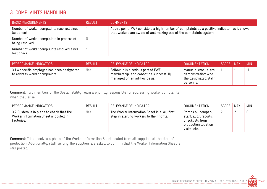## 3. COMPLAINTS HANDLING

| <b>BASIC MEASUREMENTS</b>                                   | <b>RESULT</b> | <b>COMMENTS</b>                                                                                                                                                     |
|-------------------------------------------------------------|---------------|---------------------------------------------------------------------------------------------------------------------------------------------------------------------|
| Number of worker complaints received since<br>last check    |               | At this point, FWF considers a high number of complaints as a positive indicator, as it shows<br>that workers are aware of and making use of the complaints system. |
| Number of worker complaints in process of<br>being resolved |               |                                                                                                                                                                     |
| Number of worker complaints resolved since<br>last check    |               |                                                                                                                                                                     |

| <b>PERFORMANCE INDICATORS</b>                                               | RESULT | RELEVANCE OF INDICATOR                                                                                     | DOCUMENTATION                                                                     | SCORE MAX | <b>MIN</b>   |
|-----------------------------------------------------------------------------|--------|------------------------------------------------------------------------------------------------------------|-----------------------------------------------------------------------------------|-----------|--------------|
| 3.1 A specific employee has been designated<br>to address worker complaints | Yes    | Followup is a serious part of FWF<br>membership, and cannot be successfully<br>managed on an ad-hoc basis. | Manuals, emails, etc.,<br>demonstrating who<br>the designated staff<br>person is. |           | $\mathbf{r}$ |

Comment: Two members of the Sustainability Team are jointly responsible for addressing worker complaints when they arise.

| PERFORMANCE INDICATORS                                                                          | <b>RESULT</b> | RELEVANCE OF INDICATOR                                                                   | <b>DOCUMENTATION</b>                                                                                   | SCORE | <b>MAX</b> | <b>MIN</b> |
|-------------------------------------------------------------------------------------------------|---------------|------------------------------------------------------------------------------------------|--------------------------------------------------------------------------------------------------------|-------|------------|------------|
| 3.2 System is in place to check that the<br>Worker Information Sheet is posted in<br>factories. | yes           | The Worker Information Sheet is a key first<br>step in alerting workers to their rights. | , Photos by company<br>staff, audit reports,<br>checklists from<br>production location<br>visits, etc. |       |            |            |

Comment: Triaz receives a photo of the Worker Information Sheet posted from all suppliers at the start of production. Additionally, staff visiting the suppliers are asked to confirm that the Worker Information Sheet is still posted.

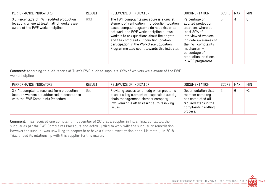| PERFORMANCE INDICATORS                                                                                                        | <b>RESULT</b> | RELEVANCE OF INDICATOR                                                                                                                                                                                                                                                                                                                                                        | <b>DOCUMENTATION</b>                                                                                                                                                                                                         | SCORE | <b>MAX</b> | <b>MIN</b> |
|-------------------------------------------------------------------------------------------------------------------------------|---------------|-------------------------------------------------------------------------------------------------------------------------------------------------------------------------------------------------------------------------------------------------------------------------------------------------------------------------------------------------------------------------------|------------------------------------------------------------------------------------------------------------------------------------------------------------------------------------------------------------------------------|-------|------------|------------|
| 3.3 Percentage of FWF-audited production<br>locations where at least half of workers are<br>aware of the FWF worker helpline. | 69%           | The FWF complaints procedure is a crucial<br>element of verification. If production location<br>based complaint systems do not exist or do<br>not work, the FWF worker helpline allows<br>workers to ask questions about their rights<br>and file complaints. Production location<br>participation in the Workplace Education<br>Programme also count towards this indicator. | Percentage of<br>audited production<br>locations where at<br>least 50% of<br>interviewed workers<br>indicate awareness of<br>the FWF complaints<br>mechanism +<br>percentage of<br>production locations<br>in WEP programme. |       | 4          | 0          |

Comment: According to audit reports at Triaz's FWF-audited suppliers, 69% of workers were aware of the FWF worker helpline.

| PERFORMANCE INDICATORS                                                                                                           | <b>RESULT</b> | RELEVANCE OF INDICATOR                                                                                                                                                                 | DOCUMENTATION                                                                                                         | SCORE | MAX | <b>MIN</b> |
|----------------------------------------------------------------------------------------------------------------------------------|---------------|----------------------------------------------------------------------------------------------------------------------------------------------------------------------------------------|-----------------------------------------------------------------------------------------------------------------------|-------|-----|------------|
| 3.4 All complaints received from production<br>location workers are addressed in accordance<br>with the FWF Complaints Procedure | Yes           | Providing access to remedy when problems<br>arise is a key element of responsible supply<br>chain management. Member company<br>involvement is often essential to resolving<br>ISSUES. | Documentation that<br>member company<br>has completed all<br>required steps in the<br>complaints handling<br>process. |       |     | $-2$       |

Comment: Triaz received one complaint in December of 2017 at a supplier in India. Triaz contacted the supplier as per the FWF Complaints Procedure and actively tried to work with the supplier on remediation. However the supplier was unwilling to cooperate or have a further investigation done. Ultimately, in 2018, Triaz ended its relationship with this supplier for this reason.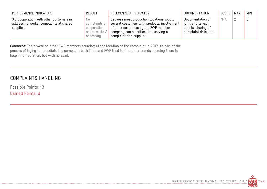| PERFORMANCE INDICATORS                                                                         | <b>RESULT</b>                                                      | RELEVANCE OF INDICATOR                                                                                                                                                                                 | <b>DOCUMENTATION</b>                                                                  | SCORE | MAX | <b>MIN</b> |
|------------------------------------------------------------------------------------------------|--------------------------------------------------------------------|--------------------------------------------------------------------------------------------------------------------------------------------------------------------------------------------------------|---------------------------------------------------------------------------------------|-------|-----|------------|
| 3.5 Cooperation with other customers in<br>addressing worker complaints at shared<br>suppliers | No.<br>complaints or<br>cooperation<br>not possible /<br>necessary | Because most production locations supply<br>several customers with products, involvement<br>of other customers by the FWF member<br>company can be critical in resolving a<br>complaint at a supplier. | Documentation of<br>joint efforts, e.g.<br>emails, sharing of<br>complaint data, etc. | N/A   |     |            |

Comment: There were no other FWF members sourcing at the location of the complaint in 2017. As part of the process of trying to remediate the complaint both Triaz and FWF tried to find other brands sourcing there to help in remediation, but with no avail.

#### COMPLAINTS HANDLING

Possible Points: 13

Earned Points: 9

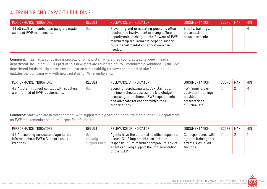## 4. TRAINING AND CAPACITY BUILDING

| PERFORMANCE INDICATORS                                               | RESULT | RELEVANCE OF INDICATOR                                                                                                                                                                                                                | I DOCUMENTATION '                                        | SCORE MAX | <b>MIN</b> |
|----------------------------------------------------------------------|--------|---------------------------------------------------------------------------------------------------------------------------------------------------------------------------------------------------------------------------------------|----------------------------------------------------------|-----------|------------|
| 4.1 All staff at member company are made<br>aware of FWF membership. | Yes    | Preventing and remediating problems often<br>requires the involvement of many different<br>departments; making all staff aware of FWF<br>membership requirements helps to support<br>cross-departmental collaboration when<br>needed. | Emails, trainings,<br>presentation,<br>newsletters, etc. |           | н.,        |

Comment: Triaz has an onboarding procedure for new staff where they spend at least a week in each department, including CSR. As part of this new staff are educated on FWF membership. Additionally the CSR department holds multiple sessions per year on sustainability for new and interested staff, and regularly updates the company wiki with news related to FWF membership.

| PERFORMANCE INDICATORS                                                              | <b>RESULT</b> | RELEVANCE OF INDICATOR                                                                                                                                                               | <b>DOCUMENTATION</b>                                                                             | SCORE | MAX | <b>MIN</b>   |
|-------------------------------------------------------------------------------------|---------------|--------------------------------------------------------------------------------------------------------------------------------------------------------------------------------------|--------------------------------------------------------------------------------------------------|-------|-----|--------------|
| 4.2 All staff in direct contact with suppliers<br>are informed of FWF requirements. | Yes           | Sourcing, purchasing and CSR staff at a<br>minimum should possess the knowledge<br>necessary to implement FWF requirements<br>and advocate for change within their<br>organisations. | <b>FWF Seminars or</b><br>equivalent trainings<br>provided;<br>presentations,<br>curricula, etc. |       |     | $\mathbf{r}$ |

Comment: Staff who are in direct contact with suppliers are given additional training by the CSR department on FWF requirements and country specific information.

| PERFORMANCE INDICATORS                                                                       | <b>RESULT</b>                          | RELEVANCE OF INDICATOR                                                                                                                                                                               | <b>DOCUMENTATION</b>                                                           | SCORE | MAX | <b>MIN</b> |
|----------------------------------------------------------------------------------------------|----------------------------------------|------------------------------------------------------------------------------------------------------------------------------------------------------------------------------------------------------|--------------------------------------------------------------------------------|-------|-----|------------|
| 4.3 All sourcing contractors/agents are<br>informed about FWF's Code of Labour<br>Practices. | $y_{es}$ +<br>actively<br>support COLP | Agents have the potential to either support or<br>disrupt CoLP implementation. It is the<br>responsibility of member company to ensure<br>agents actively support the implementation<br>of the CoLP. | Correspondence with<br>agents, trainings for<br>agents, FWF audit<br>findings. |       |     |            |

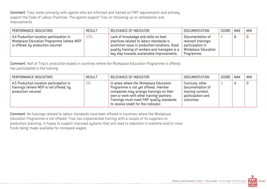Comment: Triaz works primarily with agents who are informed and trained on FWF requirements and actively support the Code of Labour Practices. The agents support Triaz on following up on remediation and improvements.

| PERFORMANCE INDICATORS                                                                                                    | <b>RESULT</b> | RELEVANCE OF INDICATOR                                                                                                                                                                                                         | DOCUMENTATION                                                                                    | SCORE | MAX | <b>MIN</b> |
|---------------------------------------------------------------------------------------------------------------------------|---------------|--------------------------------------------------------------------------------------------------------------------------------------------------------------------------------------------------------------------------------|--------------------------------------------------------------------------------------------------|-------|-----|------------|
| 4.4 Production location participation in<br>Workplace Education Programme (where WEP<br>is offered; by production volume) | 50%           | Lack of knowledge and skills on best<br>practices related to labour standards is<br>acommon issue in production locations. Good<br>quality training of workers and managers is a<br>key step towards sustainable improvements. | Documentation of<br>relevant trainings;<br>participation in<br>Workplace Education<br>Programme. |       | b   | 0          |

Comment: Half of Triaz's production based in countries where the Workplace Education Programme is offered has participated in the training.

| PERFORMANCE INDICATORS                                                                                    | <b>RESULT</b> | RELEVANCE OF INDICATOR                                                                                                                                                                                                                                        | DOCUMENTATION                                                                               | SCORE   MAX | <b>MIN</b> |
|-----------------------------------------------------------------------------------------------------------|---------------|---------------------------------------------------------------------------------------------------------------------------------------------------------------------------------------------------------------------------------------------------------------|---------------------------------------------------------------------------------------------|-------------|------------|
| 4.5 Production location participation in<br>trainings (where WEP is not offered; by<br>production volume) | $0\%$         | In areas where the Workplace Education<br>Programme is not yet offered, member<br>companies may arrange trainings on their<br>own or work with other training-partners.<br>Trainings must meet FWF quality standards<br>to receive credit for this indicator. | Curricula, other<br>documentation of<br>training content,<br>participation and<br>outcomes. |             |            |

Comment: No trainings related to labour standards have been offered in countries where the Workplace Education Programme is not offered. Triaz has implemented training with a couple of its suppliers on production planning, in hopes to support improved systems that will lead to reduction in overtime and/or more funds being made available for increased wages.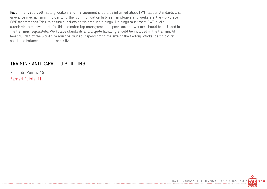Recommendation: All factory workers and management should be informed about FWF, labour standards and grievance mechanisms. In order to further communication between employers and workers in the workplace FWF recommends Triaz to ensure suppliers participate in trainings. Trainings must meet FWF quality standards to receive credit for this indicator: top management, supervisors and workers should be included in the trainings, separately. Workplace standards and dispute handling should be included in the training. At least 10-20% of the workforce must be trained, depending on the size of the factory. Worker participation should be balanced and representative.

#### TRAINING AND CAPACITY BUILDING

Possible Points: 15 Earned Points: 11

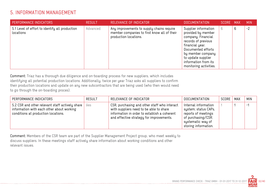## 5. INFORMATION MANAGEMENT

| PERFORMANCE INDICATORS                                      | <b>RESULT</b> | RELEVANCE OF INDICATOR                                                                                            | DOCUMENTATION                                                                                                                                                                                                                 | SCORE MAX |   | <b>MIN</b> |
|-------------------------------------------------------------|---------------|-------------------------------------------------------------------------------------------------------------------|-------------------------------------------------------------------------------------------------------------------------------------------------------------------------------------------------------------------------------|-----------|---|------------|
| 5.1 Level of effort to identify all production<br>locations | Advanced      | Any improvements to supply chains require<br>member companies to first know all of their<br>production locations. | Supplier information<br>provided by member<br>company. Financial<br>records of previous<br>financial year.<br>Documented efforts<br>by member company<br>to update supplier<br>information from its<br>monitoring activities. | 6         | 6 | $-2$       |

Comment: Triaz has a thorough due diligence and on-boarding process for new suppliers, which includes identifying all potential production locations. Additionally, twice per year Triaz asks all suppliers to confirm their production locations and update on any new subcontractors that are being used (who then would need to go through the on-boarding proces).

| PERFORMANCE INDICATORS                                                                                                              | <b>RESULT</b> | RELEVANCE OF INDICATOR                                                                                                                                                              | <b>DOCUMENTATION</b>                                                                                                                   | SCORE | MAX | <b>MIN</b> |
|-------------------------------------------------------------------------------------------------------------------------------------|---------------|-------------------------------------------------------------------------------------------------------------------------------------------------------------------------------------|----------------------------------------------------------------------------------------------------------------------------------------|-------|-----|------------|
| 5.2 CSR and other relevant staff actively share<br>information with each other about working<br>conditions at production locations. | Yes           | CSR, purchasing and other staff who interact<br>with suppliers need to be able to share<br>information in order to establish a coherent<br>and effective strategy for improvements. | Internal information<br>system; status CAPs,<br>reports of meetings<br>of purchasing/CSR;<br>systematic way of<br>storing information. |       |     | - 1        |

Comment: Members of the CSR team are part of the Supplier Management Project group, who meet weekly to discuss suppliers. In these meetings staff actively share information about working conditions and other relevant issues.

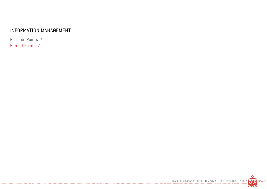## INFORMATION MANAGEMENT

Possible Points: 7 Earned Points: 7

. . . . . . . . . . . . . .

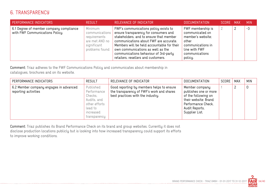## 6. TRANSPARENCY

| PERFORMANCE INDICATORS                                                     | <b>RESULT</b>                                                                                  | RELEVANCE OF INDICATOR                                                                                                                                                                                                                                                                                                                 | <b>DOCUMENTATION</b>                                                                                                                  | SCORE MAX | <b>MIN</b> |
|----------------------------------------------------------------------------|------------------------------------------------------------------------------------------------|----------------------------------------------------------------------------------------------------------------------------------------------------------------------------------------------------------------------------------------------------------------------------------------------------------------------------------------|---------------------------------------------------------------------------------------------------------------------------------------|-----------|------------|
| 6.1 Degree of member company compliance<br>with FWF Communications Policy. | Minimum<br>communications  <br>requirements<br>are met AND no<br>significant<br>problems found | FWF's communications policy exists to<br>ensure transparency for consumers and<br>stakeholders, and to ensure that member<br>communications about FWF are accurate.<br>Members will be held accountable for their<br>own communications as well as the<br>communications behaviour of 3rd-party<br>retailers, resellers and customers. | FWF membership is<br>communicated on<br>member's website;<br>other<br>communications in<br>line with FWF<br>communications<br>policy. |           | $-3$       |

Comment: Triaz adheres to the FWF Communications Policy and communicates about membership in catalogues, brochures and on its website.

| PERFORMANCE INDICATORS                                         | <b>RESULT</b>                                                                                               | RELEVANCE OF INDICATOR                                                                                                      | <b>DOCUMENTATION</b>                                                                                                                             | SCORE | <b>MAX</b> | <b>MIN</b> |
|----------------------------------------------------------------|-------------------------------------------------------------------------------------------------------------|-----------------------------------------------------------------------------------------------------------------------------|--------------------------------------------------------------------------------------------------------------------------------------------------|-------|------------|------------|
| 6.2 Member company engages in advanced<br>reporting activities | Published<br>Performance<br>Checks,<br>Audits, and<br>other efforts<br>lead to<br>increased<br>transparency | Good reporting by members helps to ensure<br>the transparency of FWF's work and shares<br>best practices with the industry. | Member company<br>publishes one or more<br>of the following on<br>their website: Brand<br>Performance Check,<br>Audit Reports,<br>Supplier List. |       |            | 0          |

Comment: Triaz publishes its Brand Performance Check on its brand and group websites. Currently it does not disclose production locations publicly but is looking into how increased transparency could support its efforts to improve working conditions.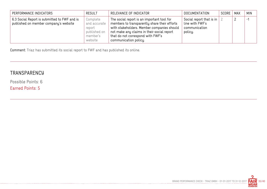| PERFORMANCE INDICATORS                                                                | <b>RESULT</b>                                                             | RELEVANCE OF INDICATOR                                                                                                                                                                                                                               | <b>DOCUMENTATION</b>                                                    | SCORE | MAX | <b>MIN</b> |
|---------------------------------------------------------------------------------------|---------------------------------------------------------------------------|------------------------------------------------------------------------------------------------------------------------------------------------------------------------------------------------------------------------------------------------------|-------------------------------------------------------------------------|-------|-----|------------|
| 6.3 Social Report is submitted to FWF and is<br>published on member company's website | Complete<br>and accurate<br>report<br>published on<br>member's<br>website | The social report is an important tool for<br>members to transparently share their efforts<br>with stakeholders. Member companies should<br>not make any claims in their social report<br>that do not correspond with FWF's<br>communication policy. | Social report that is in<br>line with FWF's<br>communication<br>policy. |       |     | -1         |

Comment: Triaz has submitted its social report to FWF and has published its online.

.............................

## **TRANSPARENCY**

Possible Points: 6

Earned Points: 5

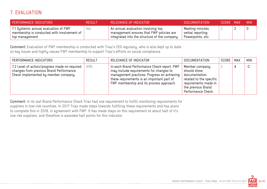## 7. EVALUATION

| PERFORMANCE INDICATORS                                                                                 | <b>RESULT</b> | RELEVANCE OF INDICATOR                                                                                                          | DOCUMENTATION                                              | SCORE MAX | MIN. |
|--------------------------------------------------------------------------------------------------------|---------------|---------------------------------------------------------------------------------------------------------------------------------|------------------------------------------------------------|-----------|------|
| 7.1 Systemic annual evaluation of FWF<br>membership is conducted with involvement of<br>top management | yes           | An annual evaluation involving top<br>management ensures that FWF policies are<br>integrated into the structure of the company. | Meeting minutes,<br>verbal reporting,<br>Powerpoints, etc. |           |      |

Comment: Evaluation of FWF membership is conducted with Triaz's CEO regularly, who is also kept up to date on key issues and highly values FWF membership to support Triaz's efforts on social compliance.

| PERFORMANCE INDICATORS                                                                                                           | <b>RESULT</b> | RELEVANCE OF INDICATOR                                                                                                                                                                                                          | <b>DOCUMENTATION</b>                                                                                                                          | SCORE | MAX | <b>MIN</b> |
|----------------------------------------------------------------------------------------------------------------------------------|---------------|---------------------------------------------------------------------------------------------------------------------------------------------------------------------------------------------------------------------------------|-----------------------------------------------------------------------------------------------------------------------------------------------|-------|-----|------------|
| 7.2 Level of action/progress made on required<br>changes from previous Brand Performance<br>Check implemented by member company. | 49%           | In each Brand Performance Check report, FWF<br>may include requirements for changes to<br>management practices. Progress on achieving<br>these requirements is an important part of<br>FWF membership and its process approach. | Member company<br>should show<br>documentation<br>related to the specific<br>requirements made in<br>the previous Brand<br>Performance Check. |       |     | $-2$       |

Comment: In its last Brand Performance Check Triaz had one requirement to fulfill monitoring requirements for suppliers in low-risk countries. In 2017 Triaz made steps towards fulfilling these requirements and has plans to complete this in 2018, in agreement with FWF. It has made steps on this requirement at about half of it's low risk suppliers, and therefore is awarded half points for this indicator.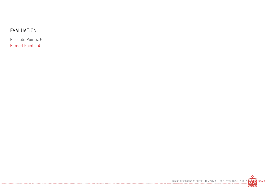# EVALUATION

Possible Points: 6

Earned Points: 4

-------------

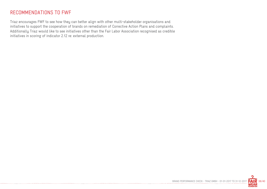## RECOMMENDATIONS TO FWF

Triaz encourages FWF to see how they can better align with other multi-stakeholder organisations and initiatives to support the cooperation of brands on remediation of Corrective Action Plans and complaints. Additionally Triaz would like to see initiatives other than the Fair Labor Association recognised as credible initiatives in scoring of indicator 2.12 re: external production.

-------------------------------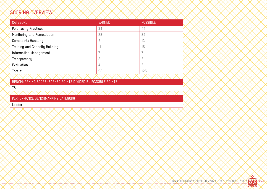## SCORING OVERVIEW

| <b>CATEGORY</b>                | <b>EARNED</b> | <b>POSSIBLE</b> |
|--------------------------------|---------------|-----------------|
| <b>Purchasing Practices</b>    | 34            | 44              |
| Monitoring and Remediation     | 28            | 34              |
| <b>Complaints Handling</b>     | 9             | 13              |
| Training and Capacity Building | 11            | 15              |
| Information Management         |               |                 |
| Transparency                   | 5             | 6               |
| Evaluation                     | 4             | 6               |
| Totals:                        | 98            | 125             |
|                                |               |                 |

BENCHMARKING SCORE (EARNED POINTS DIVIDED BY POSSIBLE POINTS)

78

PERFORMANCE BENCHMARKING CATEGORY

Leader